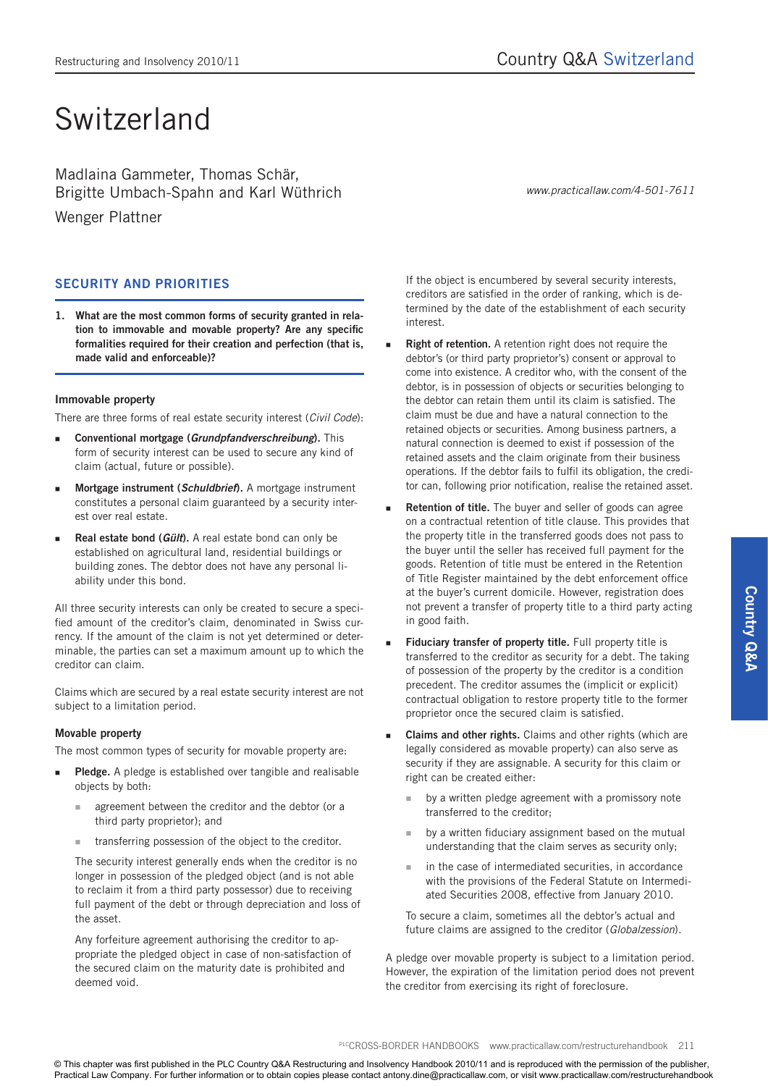# Switzerland

Madlaina Gammeter, Thomas Schär, Brigitte Umbach-Spahn and Karl Wüthrich

Wenger Plattner

## **SECURITY AND PRIORITIES**

**1. What are the most common forms of security granted in relation to immovable and movable property? Are any specific formalities required for their creation and perfection (that is, made valid and enforceable)?**

#### **Immovable property**

There are three forms of real estate security interest (*Civil Code*):

- **Conventional mortgage (***Grundpfandverschreibung***).** This form of security interest can be used to secure any kind of claim (actual, future or possible).
- **Mortgage instrument (***Schuldbrief***).** A mortgage instrument constitutes a personal claim guaranteed by a security interest over real estate.
- **Real estate bond (***Gült***).** A real estate bond can only be established on agricultural land, residential buildings or building zones. The debtor does not have any personal liability under this bond.

All three security interests can only be created to secure a specified amount of the creditor's claim, denominated in Swiss currency. If the amount of the claim is not yet determined or determinable, the parties can set a maximum amount up to which the creditor can claim.

Claims which are secured by a real estate security interest are not subject to a limitation period.

### **Movable property**

The most common types of security for movable property are:

- **Pledge.** A pledge is established over tangible and realisable objects by both:
	- agreement between the creditor and the debtor (or a third party proprietor); and
	- transferring possession of the object to the creditor.

The security interest generally ends when the creditor is no longer in possession of the pledged object (and is not able to reclaim it from a third party possessor) due to receiving full payment of the debt or through depreciation and loss of the asset.

Any forfeiture agreement authorising the creditor to appropriate the pledged object in case of non-satisfaction of the secured claim on the maturity date is prohibited and deemed void.

If the object is encumbered by several security interests, creditors are satisfied in the order of ranking, which is determined by the date of the establishment of each security interest.

- **Right of retention.** A retention right does not require the debtor's (or third party proprietor's) consent or approval to come into existence. A creditor who, with the consent of the debtor, is in possession of objects or securities belonging to the debtor can retain them until its claim is satisfied. The claim must be due and have a natural connection to the retained objects or securities. Among business partners, a natural connection is deemed to exist if possession of the retained assets and the claim originate from their business operations. If the debtor fails to fulfil its obligation, the creditor can, following prior notification, realise the retained asset.
- **Retention of title.** The buyer and seller of goods can agree on a contractual retention of title clause. This provides that the property title in the transferred goods does not pass to the buyer until the seller has received full payment for the goods. Retention of title must be entered in the Retention of Title Register maintained by the debt enforcement office at the buyer's current domicile. However, registration does not prevent a transfer of property title to a third party acting in good faith.
- **Fiduciary transfer of property title.** Full property title is transferred to the creditor as security for a debt. The taking of possession of the property by the creditor is a condition precedent. The creditor assumes the (implicit or explicit) contractual obligation to restore property title to the former proprietor once the secured claim is satisfied.
- **Claims and other rights.** Claims and other rights (which are legally considered as movable property) can also serve as security if they are assignable. A security for this claim or right can be created either:
	- by a written pledge agreement with a promissory note transferred to the creditor;
	- by a written fiduciary assignment based on the mutual understanding that the claim serves as security only;
	- $\blacksquare$  in the case of intermediated securities, in accordance with the provisions of the Federal Statute on Intermediated Securities 2008, effective from January 2010.

To secure a claim, sometimes all the debtor's actual and future claims are assigned to the creditor (*Globalzession*).

A pledge over movable property is subject to a limitation period. However, the expiration of the limitation period does not prevent the creditor from exercising its right of foreclosure.

PLCCROSS-BORDER HANDBOOKS www.practicallaw.com/restructurehandbook 211

© This chapter was first published in the PLC Country Q&A Restructuring and Insolvency Handbook 2010/11 and is reproduced with the permission of the publisher, Practical Law Company. For further information or to obtain copies please contact antony.dine@practicallaw.com, or visit www.practicallaw.com/restructurehandbook

*www.practicallaw.com/4-501-7611*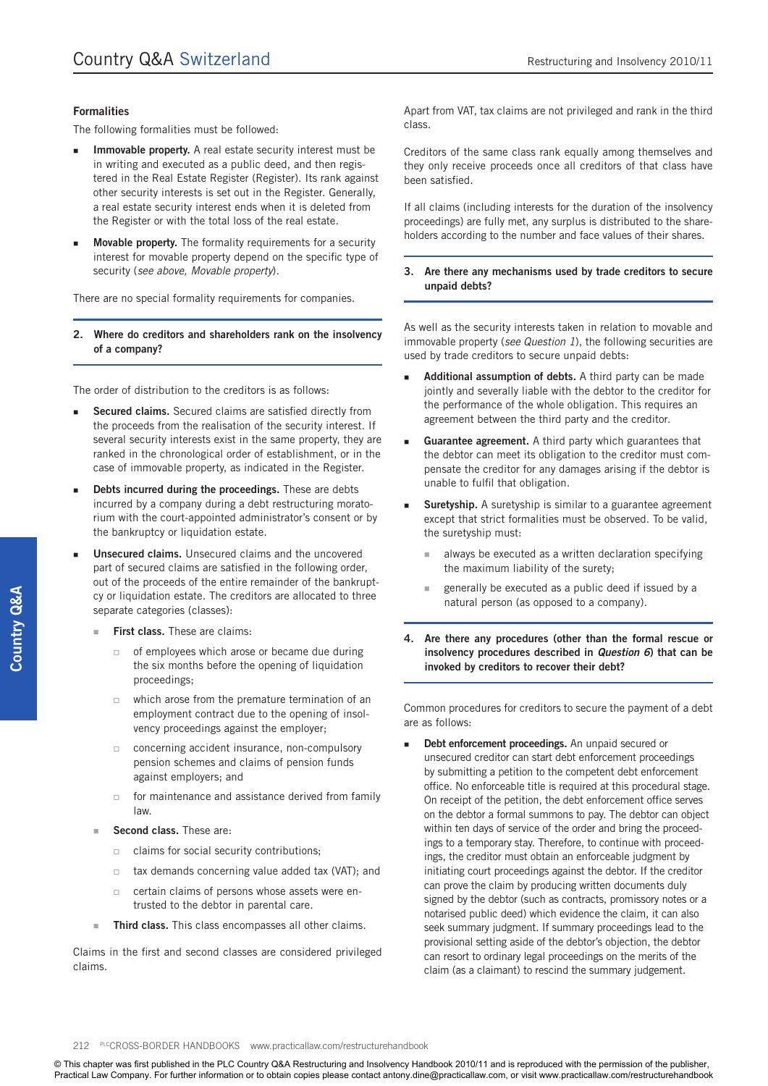#### **Formalities**

The following formalities must be followed:

- **Immovable property.** A real estate security interest must be in writing and executed as a public deed, and then registered in the Real Estate Register (Register). Its rank against other security interests is set out in the Register. Generally, a real estate security interest ends when it is deleted from the Register or with the total loss of the real estate.
- **Movable property.** The formality requirements for a security interest for movable property depend on the specific type of security (*see above, Movable property*).

There are no special formality requirements for companies.

**2. Where do creditors and shareholders rank on the insolvency of a company?** 

The order of distribution to the creditors is as follows:

- **Secured claims.** Secured claims are satisfied directly from the proceeds from the realisation of the security interest. If several security interests exist in the same property, they are ranked in the chronological order of establishment, or in the case of immovable property, as indicated in the Register.
- **Debts incurred during the proceedings.** These are debts incurred by a company during a debt restructuring moratorium with the court-appointed administrator's consent or by the bankruptcy or liquidation estate.
- **Unsecured claims.** Unsecured claims and the uncovered part of secured claims are satisfied in the following order, out of the proceeds of the entire remainder of the bankruptcy or liquidation estate. The creditors are allocated to three separate categories (classes):
	- **First class.** These are claims:
		- $\Box$  of employees which arose or became due during the six months before the opening of liquidation proceedings;
		- $\Box$  which arose from the premature termination of an employment contract due to the opening of insolvency proceedings against the employer;
		- concerning accident insurance, non-compulsory pension schemes and claims of pension funds against employers; and
		- $\Box$  for maintenance and assistance derived from family law.
	- **Second class.** These are:
		- $\Box$  claims for social security contributions;
		- $\Box$  tax demands concerning value added tax (VAT); and
		- □ certain claims of persons whose assets were entrusted to the debtor in parental care.
	- **Third class.** This class encompasses all other claims.

Claims in the first and second classes are considered privileged claims.

Apart from VAT, tax claims are not privileged and rank in the third class.

Creditors of the same class rank equally among themselves and they only receive proceeds once all creditors of that class have been satisfied.

If all claims (including interests for the duration of the insolvency proceedings) are fully met, any surplus is distributed to the shareholders according to the number and face values of their shares.

#### **3. Are there any mechanisms used by trade creditors to secure unpaid debts?**

As well as the security interests taken in relation to movable and immovable property (*see Question 1*), the following securities are used by trade creditors to secure unpaid debts:

- **Additional assumption of debts.** A third party can be made jointly and severally liable with the debtor to the creditor for the performance of the whole obligation. This requires an agreement between the third party and the creditor.
- **Guarantee agreement.** A third party which guarantees that the debtor can meet its obligation to the creditor must compensate the creditor for any damages arising if the debtor is unable to fulfil that obligation.
- **Suretyship.** A suretyship is similar to a guarantee agreement except that strict formalities must be observed. To be valid, the suretyship must:
	- **always be executed as a written declaration specifying** the maximum liability of the surety;
	- generally be executed as a public deed if issued by a natural person (as opposed to a company).
- **4. Are there any procedures (other than the formal rescue or insolvency procedures described in** *Question 6***) that can be invoked by creditors to recover their debt?**

Common procedures for creditors to secure the payment of a debt are as follows:

**Debt enforcement proceedings.** An unpaid secured or unsecured creditor can start debt enforcement proceedings by submitting a petition to the competent debt enforcement office. No enforceable title is required at this procedural stage. On receipt of the petition, the debt enforcement office serves on the debtor a formal summons to pay. The debtor can object within ten days of service of the order and bring the proceedings to a temporary stay. Therefore, to continue with proceedings, the creditor must obtain an enforceable judgment by initiating court proceedings against the debtor. If the creditor can prove the claim by producing written documents duly signed by the debtor (such as contracts, promissory notes or a notarised public deed) which evidence the claim, it can also seek summary judgment. If summary proceedings lead to the provisional setting aside of the debtor's objection, the debtor can resort to ordinary legal proceedings on the merits of the claim (as a claimant) to rescind the summary judgement.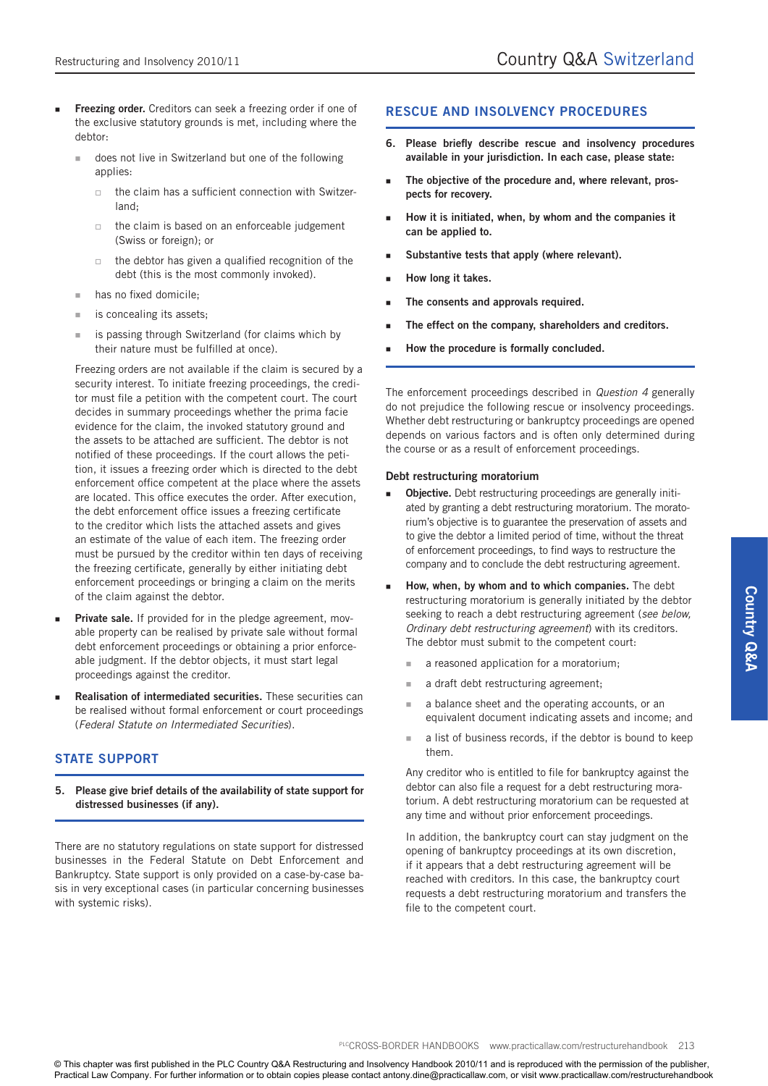- **Freezing order.** Creditors can seek a freezing order if one of the exclusive statutory grounds is met, including where the debtor:
	- does not live in Switzerland but one of the following applies:
		- $\Box$  the claim has a sufficient connection with Switzerland;
		- $\Box$  the claim is based on an enforceable judgement (Swiss or foreign); or
		- $\Box$  the debtor has given a qualified recognition of the debt (this is the most commonly invoked).
	- has no fixed domicile;
	- is concealing its assets;
	- is passing through Switzerland (for claims which by their nature must be fulfilled at once).

Freezing orders are not available if the claim is secured by a security interest. To initiate freezing proceedings, the creditor must file a petition with the competent court. The court decides in summary proceedings whether the prima facie evidence for the claim, the invoked statutory ground and the assets to be attached are sufficient. The debtor is not notified of these proceedings. If the court allows the petition, it issues a freezing order which is directed to the debt enforcement office competent at the place where the assets are located. This office executes the order. After execution, the debt enforcement office issues a freezing certificate to the creditor which lists the attached assets and gives an estimate of the value of each item. The freezing order must be pursued by the creditor within ten days of receiving the freezing certificate, generally by either initiating debt enforcement proceedings or bringing a claim on the merits of the claim against the debtor.

- Private sale. If provided for in the pledge agreement, movable property can be realised by private sale without formal debt enforcement proceedings or obtaining a prior enforceable judgment. If the debtor objects, it must start legal proceedings against the creditor.
- **Realisation of intermediated securities.** These securities can be realised without formal enforcement or court proceedings (*Federal Statute on Intermediated Securities*).

## **STATE SUPPORT**

**5. Please give brief details of the availability of state support for distressed businesses (if any).**

There are no statutory regulations on state support for distressed businesses in the Federal Statute on Debt Enforcement and Bankruptcy. State support is only provided on a case-by-case basis in very exceptional cases (in particular concerning businesses with systemic risks).

### **RESCUE AND INSOLVENCY PROCEDURES**

- **6. Please briefly describe rescue and insolvency procedures available in your jurisdiction. In each case, please state:**
- **The objective of the procedure and, where relevant, prospects for recovery.**
- **How it is initiated, when, by whom and the companies it can be applied to.**
- **Substantive tests that apply (where relevant).**
- **How long it takes.**
- **The consents and approvals required.**
- **The effect on the company, shareholders and creditors.**
- **How the procedure is formally concluded.**

The enforcement proceedings described in *Question 4* generally do not prejudice the following rescue or insolvency proceedings. Whether debt restructuring or bankruptcy proceedings are opened depends on various factors and is often only determined during the course or as a result of enforcement proceedings.

#### **Debt restructuring moratorium**

- **Objective.** Debt restructuring proceedings are generally initiated by granting a debt restructuring moratorium. The moratorium's objective is to guarantee the preservation of assets and to give the debtor a limited period of time, without the threat of enforcement proceedings, to find ways to restructure the company and to conclude the debt restructuring agreement.
- **How, when, by whom and to which companies.** The debt restructuring moratorium is generally initiated by the debtor seeking to reach a debt restructuring agreement (*see below, Ordinary debt restructuring agreement*) with its creditors. The debtor must submit to the competent court:
	- **a** reasoned application for a moratorium;
	- a draft debt restructuring agreement;
	- **a** a balance sheet and the operating accounts, or an equivalent document indicating assets and income; and
	- a list of business records, if the debtor is bound to keep them.

Any creditor who is entitled to file for bankruptcy against the debtor can also file a request for a debt restructuring moratorium. A debt restructuring moratorium can be requested at any time and without prior enforcement proceedings.

In addition, the bankruptcy court can stay judgment on the opening of bankruptcy proceedings at its own discretion, if it appears that a debt restructuring agreement will be reached with creditors. In this case, the bankruptcy court requests a debt restructuring moratorium and transfers the file to the competent court.

**Country Q&A Country Q&A**

PLCCROSS-BORDER HANDBOOKS www.practicallaw.com/restructurehandbook 213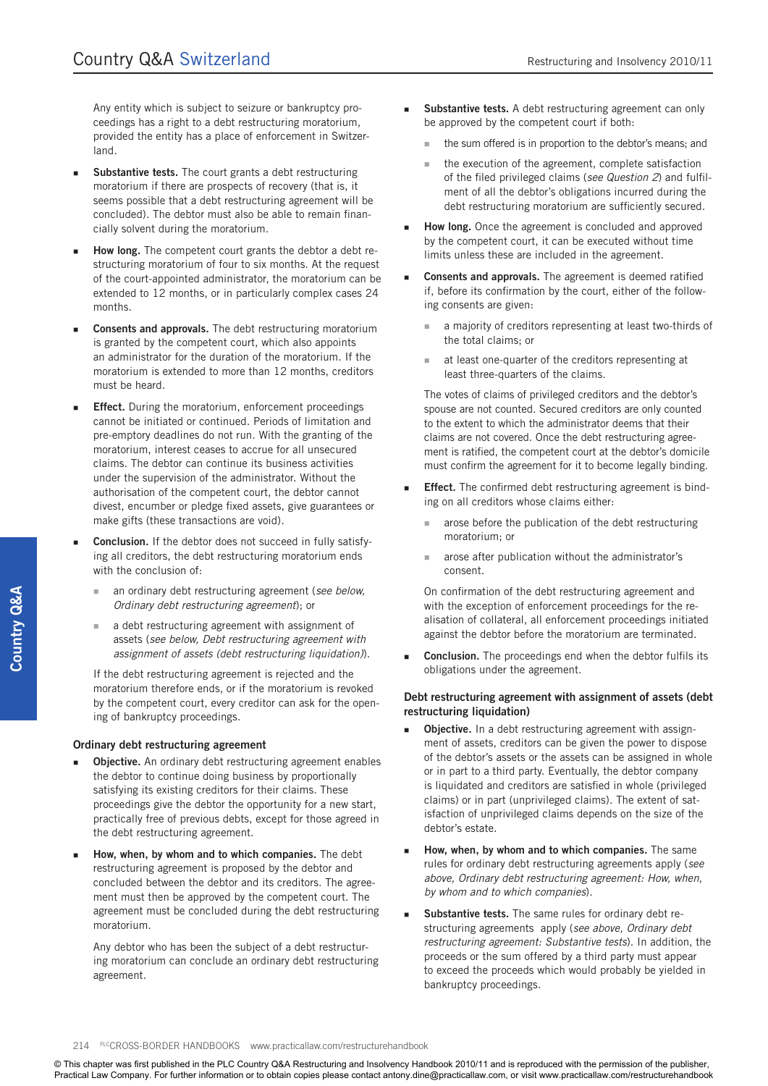Any entity which is subject to seizure or bankruptcy proceedings has a right to a debt restructuring moratorium, provided the entity has a place of enforcement in Switzerland.

- **Substantive tests.** The court grants a debt restructuring moratorium if there are prospects of recovery (that is, it seems possible that a debt restructuring agreement will be concluded). The debtor must also be able to remain financially solvent during the moratorium.
- How long. The competent court grants the debtor a debt restructuring moratorium of four to six months. At the request of the court-appointed administrator, the moratorium can be extended to 12 months, or in particularly complex cases 24 months.
- **Consents and approvals.** The debt restructuring moratorium is granted by the competent court, which also appoints an administrator for the duration of the moratorium. If the moratorium is extended to more than 12 months, creditors must be heard.
- **Effect.** During the moratorium, enforcement proceedings cannot be initiated or continued. Periods of limitation and pre-emptory deadlines do not run. With the granting of the moratorium, interest ceases to accrue for all unsecured claims. The debtor can continue its business activities under the supervision of the administrator. Without the authorisation of the competent court, the debtor cannot divest, encumber or pledge fixed assets, give guarantees or make gifts (these transactions are void).
- **Conclusion.** If the debtor does not succeed in fully satisfying all creditors, the debt restructuring moratorium ends with the conclusion of:
	- an ordinary debt restructuring agreement (*see below, Ordinary debt restructuring agreement*); or
	- a debt restructuring agreement with assignment of assets (*see below, Debt restructuring agreement with assignment of assets (debt restructuring liquidation)*).

If the debt restructuring agreement is rejected and the moratorium therefore ends, or if the moratorium is revoked by the competent court, every creditor can ask for the opening of bankruptcy proceedings.

#### **Ordinary debt restructuring agreement**

- **Objective.** An ordinary debt restructuring agreement enables the debtor to continue doing business by proportionally satisfying its existing creditors for their claims. These proceedings give the debtor the opportunity for a new start, practically free of previous debts, except for those agreed in the debt restructuring agreement.
- **How, when, by whom and to which companies.** The debt restructuring agreement is proposed by the debtor and concluded between the debtor and its creditors. The agreement must then be approved by the competent court. The agreement must be concluded during the debt restructuring moratorium.

Any debtor who has been the subject of a debt restructuring moratorium can conclude an ordinary debt restructuring agreement.

- **Substantive tests.** A debt restructuring agreement can only be approved by the competent court if both:
	- the sum offered is in proportion to the debtor's means; and
	- $\blacksquare$  the execution of the agreement, complete satisfaction of the filed privileged claims (*see Question 2*) and fulfilment of all the debtor's obligations incurred during the debt restructuring moratorium are sufficiently secured.
- **How long.** Once the agreement is concluded and approved by the competent court, it can be executed without time limits unless these are included in the agreement.
- **Consents and approvals.** The agreement is deemed ratified if, before its confirmation by the court, either of the following consents are given:
	- a majority of creditors representing at least two-thirds of the total claims; or
	- at least one-quarter of the creditors representing at least three-quarters of the claims.

The votes of claims of privileged creditors and the debtor's spouse are not counted. Secured creditors are only counted to the extent to which the administrator deems that their claims are not covered. Once the debt restructuring agreement is ratified, the competent court at the debtor's domicile must confirm the agreement for it to become legally binding.

- **Effect.** The confirmed debt restructuring agreement is binding on all creditors whose claims either:
	- **a** arose before the publication of the debt restructuring moratorium; or
	- **a** arose after publication without the administrator's consent.

On confirmation of the debt restructuring agreement and with the exception of enforcement proceedings for the realisation of collateral, all enforcement proceedings initiated against the debtor before the moratorium are terminated.

 **Conclusion.** The proceedings end when the debtor fulfils its obligations under the agreement.

#### **Debt restructuring agreement with assignment of assets (debt restructuring liquidation)**

- **Dbjective.** In a debt restructuring agreement with assignment of assets, creditors can be given the power to dispose of the debtor's assets or the assets can be assigned in whole or in part to a third party. Eventually, the debtor company is liquidated and creditors are satisfied in whole (privileged claims) or in part (unprivileged claims). The extent of satisfaction of unprivileged claims depends on the size of the debtor's estate.
- **How, when, by whom and to which companies.** The same rules for ordinary debt restructuring agreements apply (*see above, Ordinary debt restructuring agreement: How, when, by whom and to which companies*).
- **Substantive tests.** The same rules for ordinary debt restructuring agreements apply (*see above, Ordinary debt restructuring agreement: Substantive tests*). In addition, the proceeds or the sum offered by a third party must appear to exceed the proceeds which would probably be yielded in bankruptcy proceedings.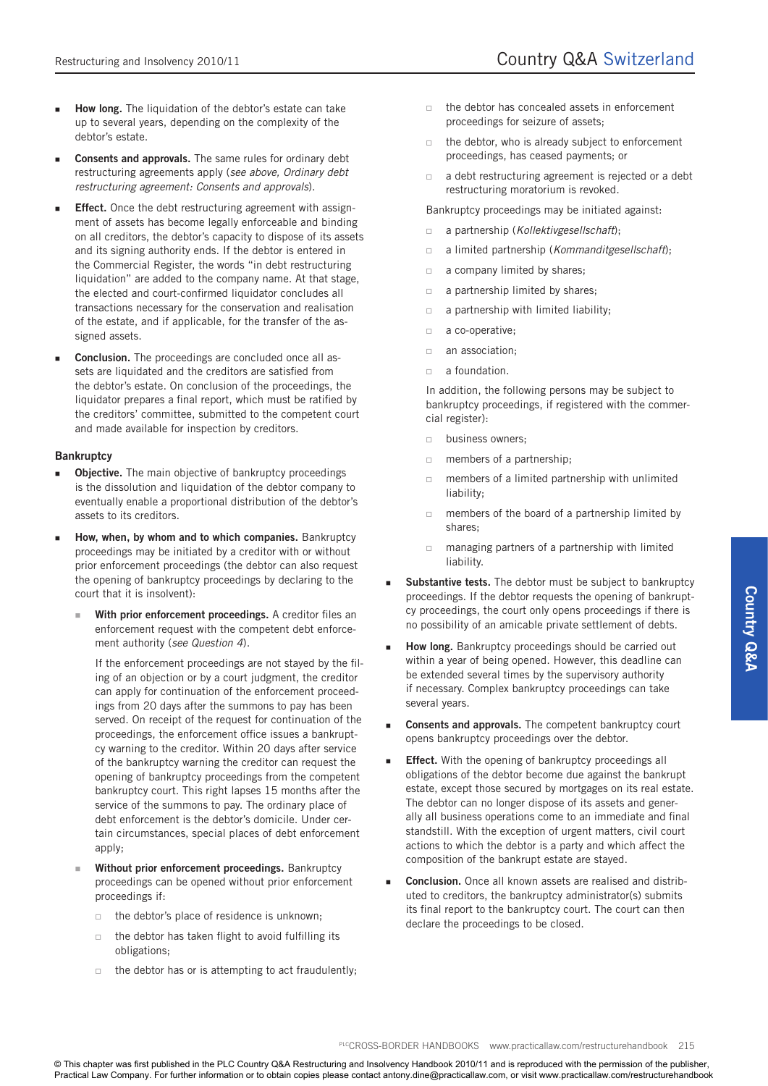- **How long.** The liquidation of the debtor's estate can take up to several years, depending on the complexity of the debtor's estate.
- **Consents and approvals.** The same rules for ordinary debt restructuring agreements apply (*see above, Ordinary debt restructuring agreement: Consents and approvals*).
- **Effect.** Once the debt restructuring agreement with assignment of assets has become legally enforceable and binding on all creditors, the debtor's capacity to dispose of its assets and its signing authority ends. If the debtor is entered in the Commercial Register, the words "in debt restructuring liquidation" are added to the company name. At that stage, the elected and court-confirmed liquidator concludes all transactions necessary for the conservation and realisation of the estate, and if applicable, for the transfer of the assigned assets.
- **Conclusion.** The proceedings are concluded once all assets are liquidated and the creditors are satisfied from the debtor's estate. On conclusion of the proceedings, the liquidator prepares a final report, which must be ratified by the creditors' committee, submitted to the competent court and made available for inspection by creditors.

#### **Bankruptcy**

- **Objective.** The main objective of bankruptcy proceedings is the dissolution and liquidation of the debtor company to eventually enable a proportional distribution of the debtor's assets to its creditors.
- **How, when, by whom and to which companies.** Bankruptcy proceedings may be initiated by a creditor with or without prior enforcement proceedings (the debtor can also request the opening of bankruptcy proceedings by declaring to the court that it is insolvent):
	- **With prior enforcement proceedings.** A creditor files an enforcement request with the competent debt enforcement authority (*see Question 4*).

If the enforcement proceedings are not stayed by the filing of an objection or by a court judgment, the creditor can apply for continuation of the enforcement proceedings from 20 days after the summons to pay has been served. On receipt of the request for continuation of the proceedings, the enforcement office issues a bankruptcy warning to the creditor. Within 20 days after service of the bankruptcy warning the creditor can request the opening of bankruptcy proceedings from the competent bankruptcy court. This right lapses 15 months after the service of the summons to pay. The ordinary place of debt enforcement is the debtor's domicile. Under certain circumstances, special places of debt enforcement apply;

- **Without prior enforcement proceedings.** Bankruptcy proceedings can be opened without prior enforcement proceedings if:
	- $\Box$  the debtor's place of residence is unknown:
	- $\Box$  the debtor has taken flight to avoid fulfilling its obligations;
	- $\Box$  the debtor has or is attempting to act fraudulently;
- $\Box$  the debtor has concealed assets in enforcement proceedings for seizure of assets;
- $\Box$  the debtor, who is already subject to enforcement proceedings, has ceased payments; or
- a debt restructuring agreement is rejected or a debt restructuring moratorium is revoked.

Bankruptcy proceedings may be initiated against:

- a partnership (*Kollektivgesellschaft*);
- a limited partnership (*Kommanditgesellschaft*);
- a company limited by shares;
- a partnership limited by shares;
- a partnership with limited liability;
- a co-operative;
- $\Box$  an association;
- $\Box$  a foundation.

In addition, the following persons may be subject to bankruptcy proceedings, if registered with the commercial register):

- **business owners;**
- members of a partnership;
- $\Box$  members of a limited partnership with unlimited liability;
- $\Box$  members of the board of a partnership limited by shares;
- managing partners of a partnership with limited liability.
- **Substantive tests.** The debtor must be subject to bankruptcy proceedings. If the debtor requests the opening of bankruptcy proceedings, the court only opens proceedings if there is no possibility of an amicable private settlement of debts.
- **How long.** Bankruptcy proceedings should be carried out within a year of being opened. However, this deadline can be extended several times by the supervisory authority if necessary. Complex bankruptcy proceedings can take several years.
- **Consents and approvals.** The competent bankruptcy court opens bankruptcy proceedings over the debtor.
- **Effect.** With the opening of bankruptcy proceedings all obligations of the debtor become due against the bankrupt estate, except those secured by mortgages on its real estate. The debtor can no longer dispose of its assets and generally all business operations come to an immediate and final standstill. With the exception of urgent matters, civil court actions to which the debtor is a party and which affect the composition of the bankrupt estate are stayed.
- **Conclusion.** Once all known assets are realised and distributed to creditors, the bankruptcy administrator(s) submits its final report to the bankruptcy court. The court can then declare the proceedings to be closed.

PLCCROSS-BORDER HANDBOOKS www.practicallaw.com/restructurehandbook 215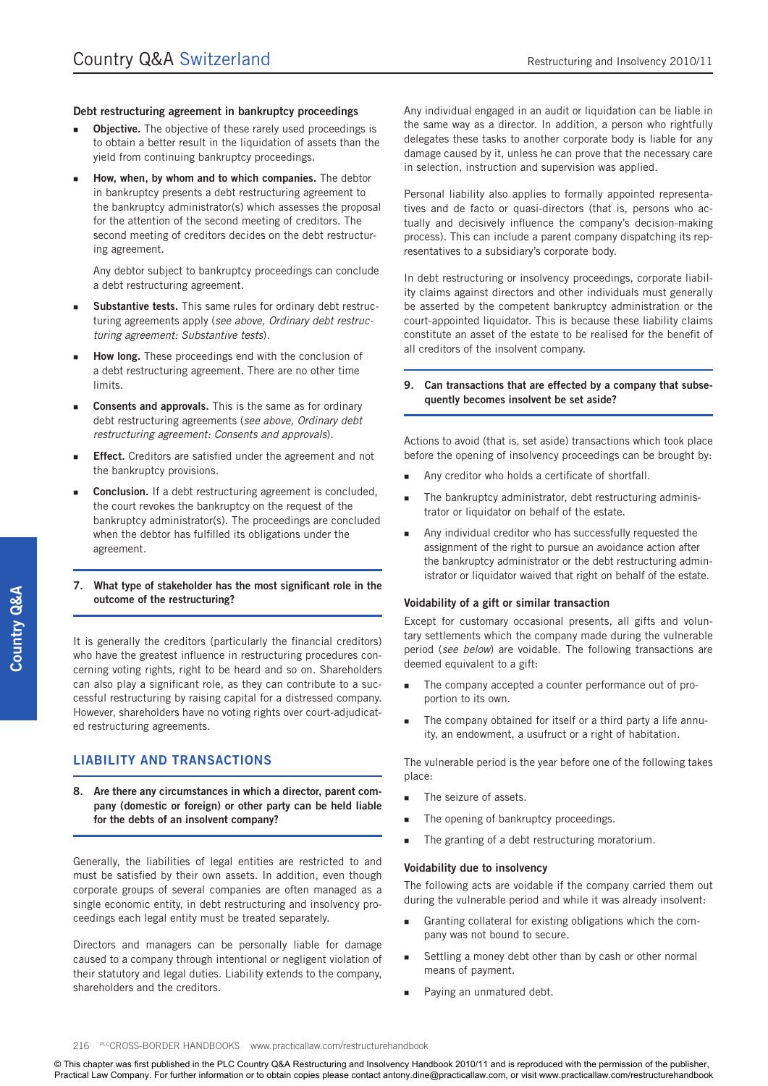#### **Debt restructuring agreement in bankruptcy proceedings**

- **Objective.** The objective of these rarely used proceedings is to obtain a better result in the liquidation of assets than the yield from continuing bankruptcy proceedings.
- **How, when, by whom and to which companies.** The debtor in bankruptcy presents a debt restructuring agreement to the bankruptcy administrator(s) which assesses the proposal for the attention of the second meeting of creditors. The second meeting of creditors decides on the debt restructuring agreement.

Any debtor subject to bankruptcy proceedings can conclude a debt restructuring agreement.

- **Substantive tests.** This same rules for ordinary debt restructuring agreements apply (*see above, Ordinary debt restructuring agreement: Substantive tests*).
- **How long.** These proceedings end with the conclusion of a debt restructuring agreement. There are no other time limits.
- **Consents and approvals.** This is the same as for ordinary debt restructuring agreements (*see above, Ordinary debt restructuring agreement: Consents and approvals*).
- **Effect.** Creditors are satisfied under the agreement and not the bankruptcy provisions.
- **Conclusion.** If a debt restructuring agreement is concluded, the court revokes the bankruptcy on the request of the bankruptcy administrator(s). The proceedings are concluded when the debtor has fulfilled its obligations under the agreement.

#### **7. What type of stakeholder has the most significant role in the outcome of the restructuring?**

It is generally the creditors (particularly the financial creditors) who have the greatest influence in restructuring procedures concerning voting rights, right to be heard and so on. Shareholders can also play a significant role, as they can contribute to a successful restructuring by raising capital for a distressed company. However, shareholders have no voting rights over court-adjudicated restructuring agreements.

## **LIABILITY AND TRANSACTIONS**

**8. Are there any circumstances in which a director, parent company (domestic or foreign) or other party can be held liable for the debts of an insolvent company?**

Generally, the liabilities of legal entities are restricted to and must be satisfied by their own assets. In addition, even though corporate groups of several companies are often managed as a single economic entity, in debt restructuring and insolvency proceedings each legal entity must be treated separately.

Directors and managers can be personally liable for damage caused to a company through intentional or negligent violation of their statutory and legal duties. Liability extends to the company, shareholders and the creditors.

Any individual engaged in an audit or liquidation can be liable in the same way as a director. In addition, a person who rightfully delegates these tasks to another corporate body is liable for any damage caused by it, unless he can prove that the necessary care in selection, instruction and supervision was applied.

Personal liability also applies to formally appointed representatives and de facto or quasi-directors (that is, persons who actually and decisively influence the company's decision-making process). This can include a parent company dispatching its representatives to a subsidiary's corporate body.

In debt restructuring or insolvency proceedings, corporate liability claims against directors and other individuals must generally be asserted by the competent bankruptcy administration or the court-appointed liquidator. This is because these liability claims constitute an asset of the estate to be realised for the benefit of all creditors of the insolvent company.

#### **9. Can transactions that are effected by a company that subsequently becomes insolvent be set aside?**

Actions to avoid (that is, set aside) transactions which took place before the opening of insolvency proceedings can be brought by:

- Any creditor who holds a certificate of shortfall.
- The bankruptcy administrator, debt restructuring administrator or liquidator on behalf of the estate.
- Any individual creditor who has successfully requested the assignment of the right to pursue an avoidance action after the bankruptcy administrator or the debt restructuring administrator or liquidator waived that right on behalf of the estate.

#### **Voidability of a gift or similar transaction**

Except for customary occasional presents, all gifts and voluntary settlements which the company made during the vulnerable period (*see below*) are voidable. The following transactions are deemed equivalent to a gift:

- The company accepted a counter performance out of proportion to its own.
- The company obtained for itself or a third party a life annuity, an endowment, a usufruct or a right of habitation.

The vulnerable period is the year before one of the following takes place:

- **The seizure of assets.**
- **The opening of bankruptcy proceedings.**
- The granting of a debt restructuring moratorium.

#### **Voidability due to insolvency**

The following acts are voidable if the company carried them out during the vulnerable period and while it was already insolvent:

- Granting collateral for existing obligations which the company was not bound to secure.
- Settling a money debt other than by cash or other normal means of payment.
- Paying an unmatured debt.

#### 216 PLCCROSS-BORDER HANDBOOKS www.practicallaw.com/restructurehandbook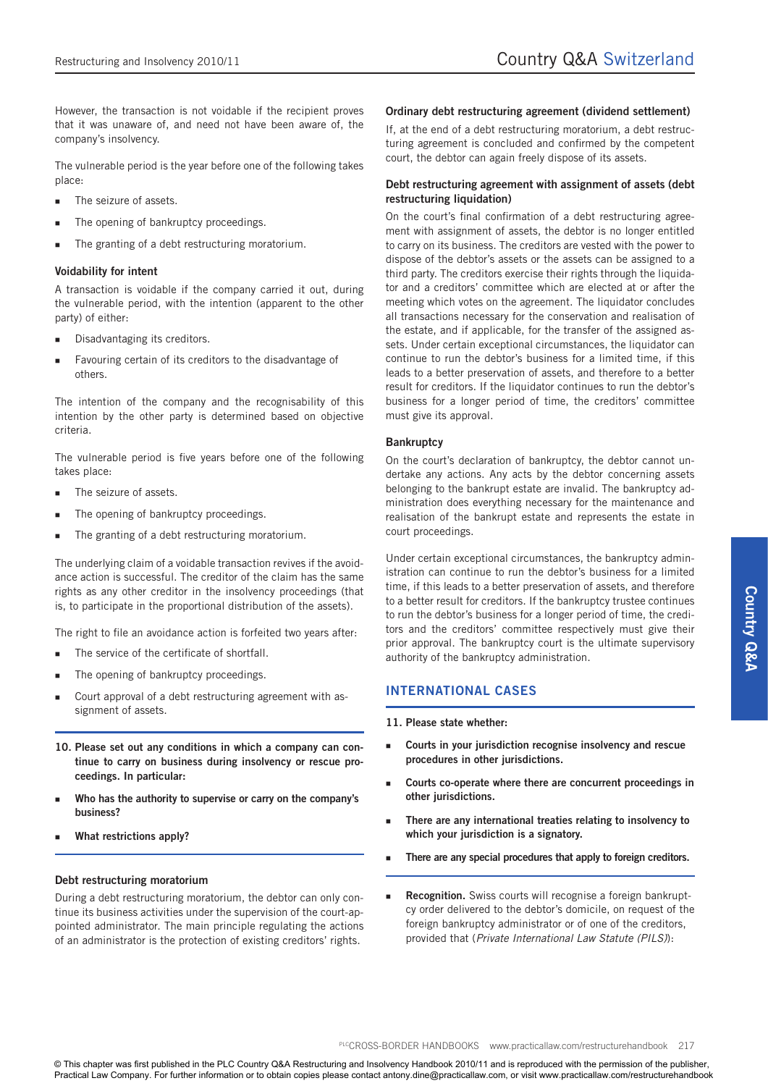However, the transaction is not voidable if the recipient proves that it was unaware of, and need not have been aware of, the company's insolvency.

The vulnerable period is the year before one of the following takes place:

- The seizure of assets.
- The opening of bankruptcy proceedings.
- The granting of a debt restructuring moratorium.

#### **Voidability for intent**

A transaction is voidable if the company carried it out, during the vulnerable period, with the intention (apparent to the other party) of either:

- Disadvantaging its creditors.
- Favouring certain of its creditors to the disadvantage of others.

The intention of the company and the recognisability of this intention by the other party is determined based on objective criteria.

The vulnerable period is five years before one of the following takes place:

- The seizure of assets.
- The opening of bankruptcy proceedings.
- The granting of a debt restructuring moratorium.

The underlying claim of a voidable transaction revives if the avoidance action is successful. The creditor of the claim has the same rights as any other creditor in the insolvency proceedings (that is, to participate in the proportional distribution of the assets).

The right to file an avoidance action is forfeited two years after:

- The service of the certificate of shortfall.
- **The opening of bankruptcy proceedings.**
- Court approval of a debt restructuring agreement with assignment of assets.
- **10. Please set out any conditions in which a company can continue to carry on business during insolvency or rescue proceedings. In particular:**
- **Who has the authority to supervise or carry on the company's business?**
- **What restrictions apply?**

#### **Debt restructuring moratorium**

During a debt restructuring moratorium, the debtor can only continue its business activities under the supervision of the court-appointed administrator. The main principle regulating the actions of an administrator is the protection of existing creditors' rights.

#### **Ordinary debt restructuring agreement (dividend settlement)**

If, at the end of a debt restructuring moratorium, a debt restructuring agreement is concluded and confirmed by the competent court, the debtor can again freely dispose of its assets.

#### **Debt restructuring agreement with assignment of assets (debt restructuring liquidation)**

On the court's final confirmation of a debt restructuring agreement with assignment of assets, the debtor is no longer entitled to carry on its business. The creditors are vested with the power to dispose of the debtor's assets or the assets can be assigned to a third party. The creditors exercise their rights through the liquidator and a creditors' committee which are elected at or after the meeting which votes on the agreement. The liquidator concludes all transactions necessary for the conservation and realisation of the estate, and if applicable, for the transfer of the assigned assets. Under certain exceptional circumstances, the liquidator can continue to run the debtor's business for a limited time, if this leads to a better preservation of assets, and therefore to a better result for creditors. If the liquidator continues to run the debtor's business for a longer period of time, the creditors' committee must give its approval.

#### **Bankruptcy**

On the court's declaration of bankruptcy, the debtor cannot undertake any actions. Any acts by the debtor concerning assets belonging to the bankrupt estate are invalid. The bankruptcy administration does everything necessary for the maintenance and realisation of the bankrupt estate and represents the estate in court proceedings.

Under certain exceptional circumstances, the bankruptcy administration can continue to run the debtor's business for a limited time, if this leads to a better preservation of assets, and therefore to a better result for creditors. If the bankruptcy trustee continues to run the debtor's business for a longer period of time, the creditors and the creditors' committee respectively must give their prior approval. The bankruptcy court is the ultimate supervisory authority of the bankruptcy administration.

## **INTERNATIONAL CASES**

**11. Please state whether:**

- **Courts in your jurisdiction recognise insolvency and rescue procedures in other jurisdictions.**
- **Courts co-operate where there are concurrent proceedings in other jurisdictions.**
- **There are any international treaties relating to insolvency to which your jurisdiction is a signatory.**
- **There are any special procedures that apply to foreign creditors.**
- **Recognition.** Swiss courts will recognise a foreign bankruptcy order delivered to the debtor's domicile, on request of the foreign bankruptcy administrator or of one of the creditors, provided that (*Private International Law Statute (PILS)*):

PLCCROSS-BORDER HANDBOOKS www.practicallaw.com/restructurehandbook 217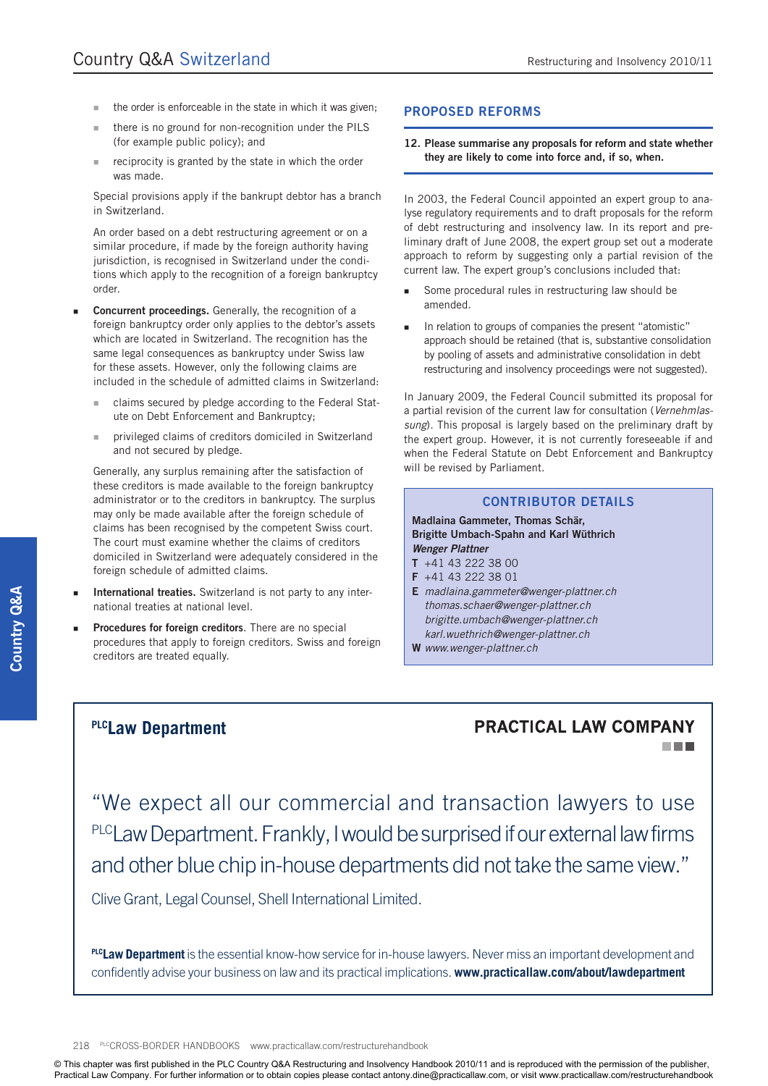- the order is enforceable in the state in which it was given;
- there is no ground for non-recognition under the PILS (for example public policy); and
- **reciprocity is granted by the state in which the order** was made.

Special provisions apply if the bankrupt debtor has a branch in Switzerland.

An order based on a debt restructuring agreement or on a similar procedure, if made by the foreign authority having jurisdiction, is recognised in Switzerland under the conditions which apply to the recognition of a foreign bankruptcy order.

- **Concurrent proceedings.** Generally, the recognition of a foreign bankruptcy order only applies to the debtor's assets which are located in Switzerland. The recognition has the same legal consequences as bankruptcy under Swiss law for these assets. However, only the following claims are included in the schedule of admitted claims in Switzerland:
	- claims secured by pledge according to the Federal Statute on Debt Enforcement and Bankruptcy;
	- privileged claims of creditors domiciled in Switzerland and not secured by pledge.

Generally, any surplus remaining after the satisfaction of these creditors is made available to the foreign bankruptcy administrator or to the creditors in bankruptcy. The surplus may only be made available after the foreign schedule of claims has been recognised by the competent Swiss court. The court must examine whether the claims of creditors domiciled in Switzerland were adequately considered in the foreign schedule of admitted claims.

- **International treaties.** Switzerland is not party to any international treaties at national level.
- **Procedures for foreign creditors**. There are no special procedures that apply to foreign creditors. Swiss and foreign creditors are treated equally.

#### **PROPOSED REFORMS**

**12. Please summarise any proposals for reform and state whether they are likely to come into force and, if so, when.**

In 2003, the Federal Council appointed an expert group to analyse regulatory requirements and to draft proposals for the reform of debt restructuring and insolvency law. In its report and preliminary draft of June 2008, the expert group set out a moderate approach to reform by suggesting only a partial revision of the current law. The expert group's conclusions included that:

- Some procedural rules in restructuring law should be amended.
- In relation to groups of companies the present "atomistic" approach should be retained (that is, substantive consolidation by pooling of assets and administrative consolidation in debt restructuring and insolvency proceedings were not suggested).

In January 2009, the Federal Council submitted its proposal for a partial revision of the current law for consultation (*Vernehmlassung*). This proposal is largely based on the preliminary draft by the expert group. However, it is not currently foreseeable if and when the Federal Statute on Debt Enforcement and Bankruptcy will be revised by Parliament.

### **CONTRIBUTOR DETAILS**

#### **Madlaina Gammeter, Thomas Schär, Brigitte Umbach-Spahn and Karl Wüthrich** *Wenger Plattner*

- **T** +41 43 222 38 00
- **F** +41 43 222 38 01
- **E** *madlaina.gammeter@wenger-plattner.ch thomas.schaer@wenger-plattner.ch brigitte.umbach@wenger-plattner.ch karl.wuethrich@wenger-plattner.ch*
- **W** *www.wenger-plattner.ch*

## **PLCLaw Department**

## **PRACTICAL LAW COMPANY** n a m

"We expect all our commercial and transaction lawyers to use PLCLaw Department. Frankly, I would be surprised if our external law firms and other blue chip in-house departments did not take the same view."

Clive Grant, Legal Counsel, Shell International Limited.

**PLCLaw Department** is the essential know-how service for in-house lawyers. Never miss an important development and confidently advise your business on law and its practical implications. **www.practicallaw.com/about/lawdepartment**

#### 218 PLCCROSS-BORDER HANDBOOKS www.practicallaw.com/restructurehandbook